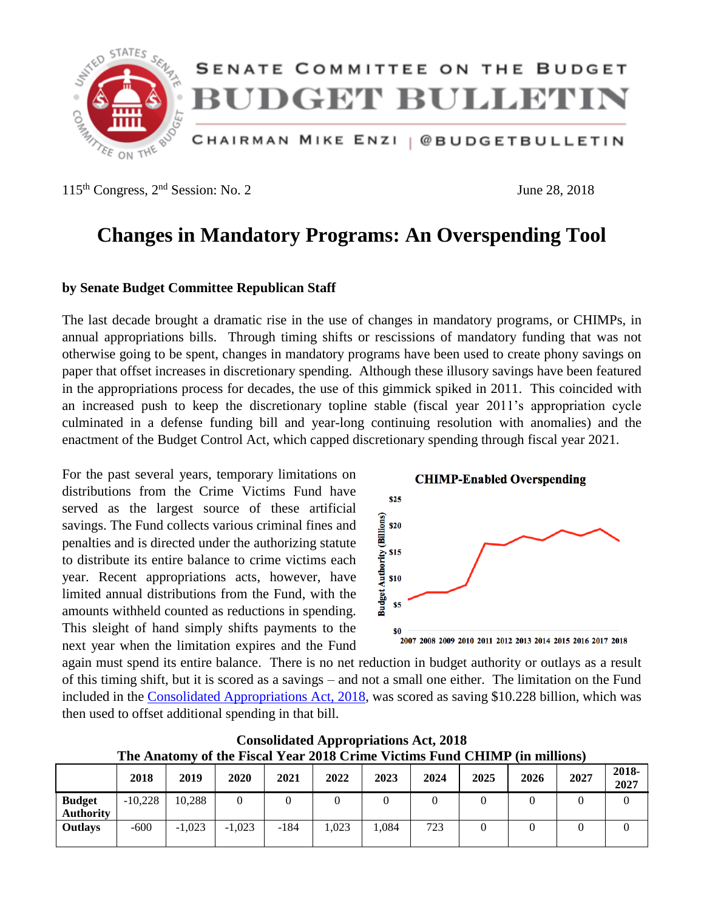

 $115<sup>th</sup> Congress, 2<sup>nd</sup> Session: No. 2$  June 28, 2018

# **Changes in Mandatory Programs: An Overspending Tool**

### **by Senate Budget Committee Republican Staff**

The last decade brought a dramatic rise in the use of changes in mandatory programs, or CHIMPs, in annual appropriations bills. Through timing shifts or rescissions of mandatory funding that was not otherwise going to be spent, changes in mandatory programs have been used to create phony savings on paper that offset increases in discretionary spending. Although these illusory savings have been featured in the appropriations process for decades, the use of this gimmick spiked in 2011. This coincided with an increased push to keep the discretionary topline stable (fiscal year 2011's appropriation cycle culminated in a defense funding bill and year-long continuing resolution with anomalies) and the enactment of the Budget Control Act, which capped discretionary spending through fiscal year 2021.

For the past several years, temporary limitations on distributions from the Crime Victims Fund have served as the largest source of these artificial savings. The Fund collects various criminal fines and penalties and is directed under the authorizing statute to distribute its entire balance to crime victims each year. Recent appropriations acts, however, have limited annual distributions from the Fund, with the amounts withheld counted as reductions in spending. This sleight of hand simply shifts payments to the next year when the limitation expires and the Fund



again must spend its entire balance. There is no net reduction in budget authority or outlays as a result of this timing shift, but it is scored as a savings – and not a small one either. The limitation on the Fund included in the [Consolidated Appropriations Act, 2018,](https://www.congress.gov/bill/115th-congress/house-bill/1625) was scored as saving \$10.228 billion, which was then used to offset additional spending in that bill.

|                                   | THE ANALONIV OF LITE PISCAL TEAL 2010 CTHILE VICUMS PUNC CITIMIT (III INHIIONS) |          |          |        |       |      |      |      |      |      |               |
|-----------------------------------|---------------------------------------------------------------------------------|----------|----------|--------|-------|------|------|------|------|------|---------------|
|                                   | 2018                                                                            | 2019     | 2020     | 2021   | 2022  | 2023 | 2024 | 2025 | 2026 | 2027 | 2018-<br>2027 |
| <b>Budget</b><br><b>Authority</b> | $-10,228$                                                                       | 10.288   |          |        |       |      |      |      |      |      |               |
| <b>Outlays</b>                    | $-600$                                                                          | $-1.023$ | $-1.023$ | $-184$ | 1.023 | .084 | 723  |      |      |      |               |

**Consolidated Appropriations Act, 2018 The Anatomy of the Fiscal Year 2018 Crime Victims Fund CHIMP (in millions)**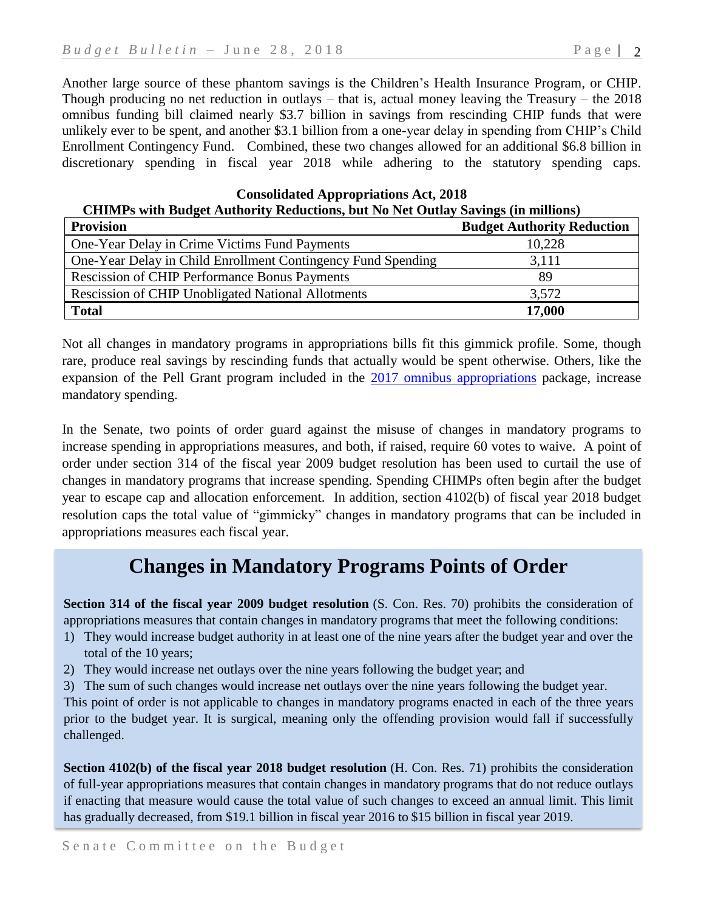Another large source of these phantom savings is the Children's Health Insurance Program, or CHIP. Though producing no net reduction in outlays – that is, actual money leaving the Treasury – the 2018 omnibus funding bill claimed nearly \$3.7 billion in savings from rescinding CHIP funds that were unlikely ever to be spent, and another \$3.1 billion from a one-year delay in spending from CHIP's Child Enrollment Contingency Fund. Combined, these two changes allowed for an additional \$6.8 billion in discretionary spending in fiscal year 2018 while adhering to the statutory spending caps.

**Consolidated Appropriations Act, 2018 CHIMPs with Budget Authority Reductions, but No Net Outlay Savings (in millions)**

| <b>Provision</b>                                             | <b>Budget Authority Reduction</b> |
|--------------------------------------------------------------|-----------------------------------|
| One-Year Delay in Crime Victims Fund Payments                | 10,228                            |
| One-Year Delay in Child Enrollment Contingency Fund Spending | 3.111                             |
| <b>Rescission of CHIP Performance Bonus Payments</b>         | 89                                |
| <b>Rescission of CHIP Unobligated National Allotments</b>    | 3,572                             |
| <b>Total</b>                                                 | 17,000                            |

Not all changes in mandatory programs in appropriations bills fit this gimmick profile. Some, though rare, produce real savings by rescinding funds that actually would be spent otherwise. Others, like the expansion of the Pell Grant program included in the [2017 omnibus appropriations](https://www.congress.gov/bill/115th-congress/house-bill/244) package, increase mandatory spending.

In the Senate, two points of order guard against the misuse of changes in mandatory programs to increase spending in appropriations measures, and both, if raised, require 60 votes to waive. A point of order under section 314 of the fiscal year 2009 budget resolution has been used to curtail the use of changes in mandatory programs that increase spending. Spending CHIMPs often begin after the budget year to escape cap and allocation enforcement. In addition, section 4102(b) of fiscal year 2018 budget resolution caps the total value of "gimmicky" changes in mandatory programs that can be included in appropriations measures each fiscal year.

### **Changes in Mandatory Programs Points of Order**

**Section 314 of the fiscal year 2009 budget resolution** (S. Con. Res. 70) prohibits the consideration of appropriations measures that contain changes in mandatory programs that meet the following conditions:

- 1) They would increase budget authority in at least one of the nine years after the budget year and over the total of the 10 years;
- 2) They would increase net outlays over the nine years following the budget year; and
- 3) The sum of such changes would increase net outlays over the nine years following the budget year.

This point of order is not applicable to changes in mandatory programs enacted in each of the three years prior to the budget year. It is surgical, meaning only the offending provision would fall if successfully challenged.

**Section 4102(b) of the fiscal year 2018 budget resolution** (H. Con. Res. 71) prohibits the consideration of full-year appropriations measures that contain changes in mandatory programs that do not reduce outlays if enacting that measure would cause the total value of such changes to exceed an annual limit. This limit has gradually decreased, from \$19.1 billion in fiscal year 2016 to \$15 billion in fiscal year 2019.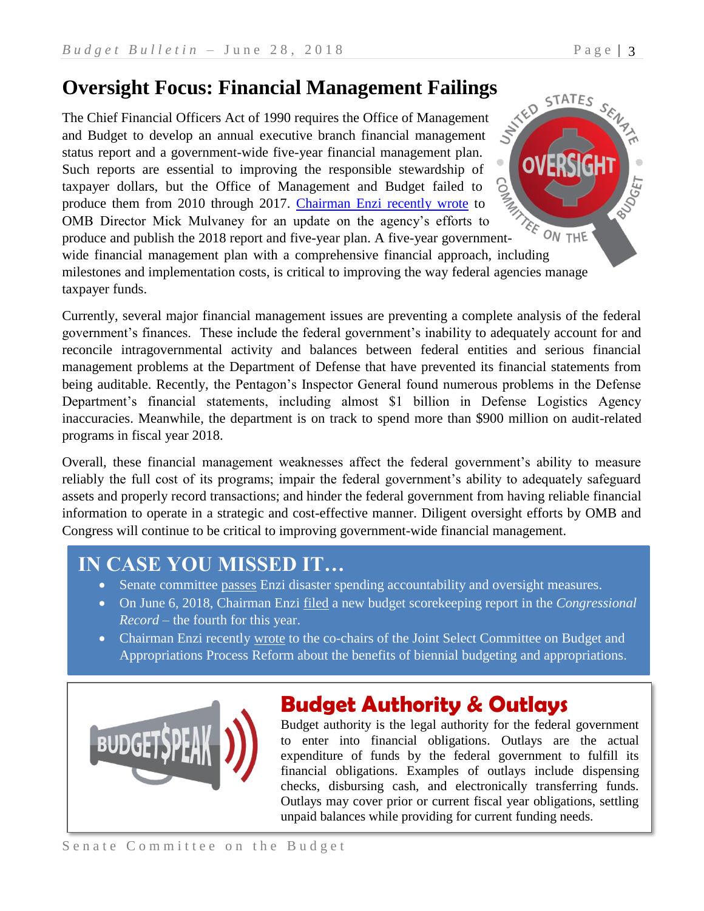**Oversight Focus: Financial Management Failings**<br>The Chief Financial Officers Act of 1990 requires the Office of Management<br>and Budget to develop an annual oriental contract of Management Stations. The Chief Financial Officers Act of 1990 requires the Office of Management and Budget to develop an annual executive branch financial management status report and a government-wide five-year financial management plan. Such reports are essential to improving the responsible stewardship of taxpayer dollars, but the Office of Management and Budget failed to produce them from 2010 through 2017. [Chairman Enzi recently wrote](https://www.budget.senate.gov/imo/media/doc/Mulvaney%205.7.2018.pdf) to OMB Director Mick Mulvaney for an update on the agency's efforts to produce and publish the 2018 report and five-year plan. A five-year governmentwide financial management plan with a comprehensive financial approach, including

milestones and implementation costs, is critical to improving the way federal agencies manage taxpayer funds.

Currently, several major financial management issues are preventing a complete analysis of the federal government's finances. These include the federal government's inability to adequately account for and reconcile intragovernmental activity and balances between federal entities and serious financial management problems at the Department of Defense that have prevented its financial statements from being auditable. Recently, the Pentagon's Inspector General found numerous problems in the Defense Department's financial statements, including almost \$1 billion in Defense Logistics Agency inaccuracies. Meanwhile, the department is on track to spend more than \$900 million on audit-related programs in fiscal year 2018.

Overall, these financial management weaknesses affect the federal government's ability to measure reliably the full cost of its programs; impair the federal government's ability to adequately safeguard assets and properly record transactions; and hinder the federal government from having reliable financial information to operate in a strategic and cost-effective manner. Diligent oversight efforts by OMB and Congress will continue to be critical to improving government-wide financial management.

# **IN CASE YOU MISSED IT…**

- Senate committee [passes](https://www.enzi.senate.gov/public/index.cfm/news-releases?ID=242943B6-DA0C-49CE-B351-275FB4B9C0CF) Enzi disaster spending accountability and oversight measures.
- On June 6, 2018, Chairman Enzi [filed](https://www.congress.gov/crec/2018/06/06/CREC-2018-06-06-pt1-PgS3024.pdf) a new budget scorekeeping report in the *Congressional Record* – the fourth for this year.
- Chairman Enzi recently [wrote](https://www.budget.senate.gov/imo/media/doc/JSCBAPR%205.29.18.pdf) to the co-chairs of the Joint Select Committee on Budget and Appropriations Process Reform about the benefits of biennial budgeting and appropriations.



# **Budget Authority & Outlays**

Budget authority is the legal authority for the federal government to enter into financial obligations. Outlays are the actual expenditure of funds by the federal government to fulfill its financial obligations. Examples of outlays include dispensing checks, disbursing cash, and electronically transferring funds. Outlays may cover prior or current fiscal year obligations, settling unpaid balances while providing for current funding needs.